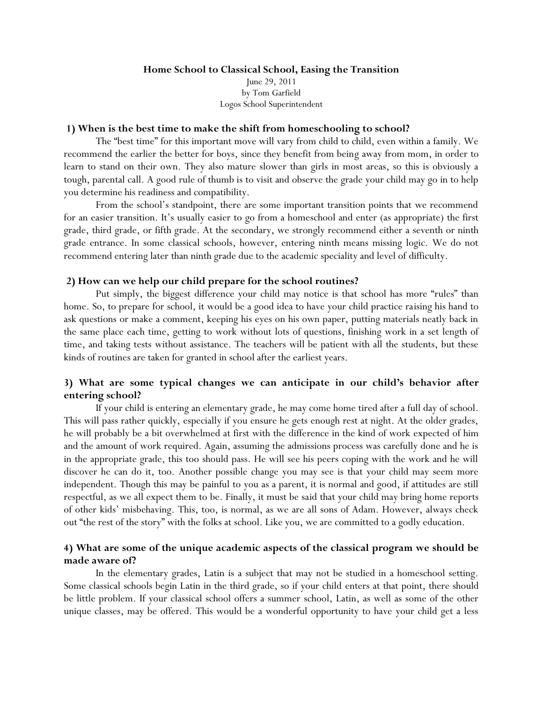### **Home School to Classical School, Easing the Transition** June 29, 2011 by Tom Garfield Logos School Superintendent

### **1) When is the best time to make the shift from homeschooling to school?**

The "best time" for this important move will vary from child to child, even within a family. We recommend the earlier the better for boys, since they benefit from being away from mom, in order to learn to stand on their own. They also mature slower than girls in most areas, so this is obviously a tough, parental call. A good rule of thumb is to visit and observe the grade your child may go in to help you determine his readiness and compatibility.

From the school's standpoint, there are some important transition points that we recommend for an easier transition. It's usually easier to go from a homeschool and enter (as appropriate) the first grade, third grade, or fifth grade. At the secondary, we strongly recommend either a seventh or ninth grade entrance. In some classical schools, however, entering ninth means missing logic. We do not recommend entering later than ninth grade due to the academic speciality and level of difficulty.

### **2) How can we help our child prepare for the school routines?**

Put simply, the biggest difference your child may notice is that school has more "rules" than home. So, to prepare for school, it would be a good idea to have your child practice raising his hand to ask questions or make a comment, keeping his eyes on his own paper, putting materials neatly back in the same place each time, getting to work without lots of questions, finishing work in a set length of time, and taking tests without assistance. The teachers will be patient with all the students, but these kinds of routines are taken for granted in school after the earliest years.

# **3) What are some typical changes we can anticipate in our child's behavior after entering school?**

If your child is entering an elementary grade, he may come home tired after a full day of school. This will pass rather quickly, especially if you ensure he gets enough rest at night. At the older grades, he will probably be a bit overwhelmed at first with the difference in the kind of work expected of him and the amount of work required. Again, assuming the admissions process was carefully done and he is in the appropriate grade, this too should pass. He will see his peers coping with the work and he will discover he can do it, too. Another possible change you may see is that your child may seem more independent. Though this may be painful to you as a parent, it is normal and good, if attitudes are still respectful, as we all expect them to be. Finally, it must be said that your child may bring home reports of other kids' misbehaving. This, too, is normal, as we are all sons of Adam. However, always check out "the rest of the story" with the folks at school. Like you, we are committed to a godly education.

## **4) What are some of the unique academic aspects of the classical program we should be made aware of?**

In the elementary grades, Latin is a subject that may not be studied in a homeschool setting. Some classical schools begin Latin in the third grade, so if your child enters at that point, there should be little problem. If your classical school offers a summer school, Latin, as well as some of the other unique classes, may be offered. This would be a wonderful opportunity to have your child get a less